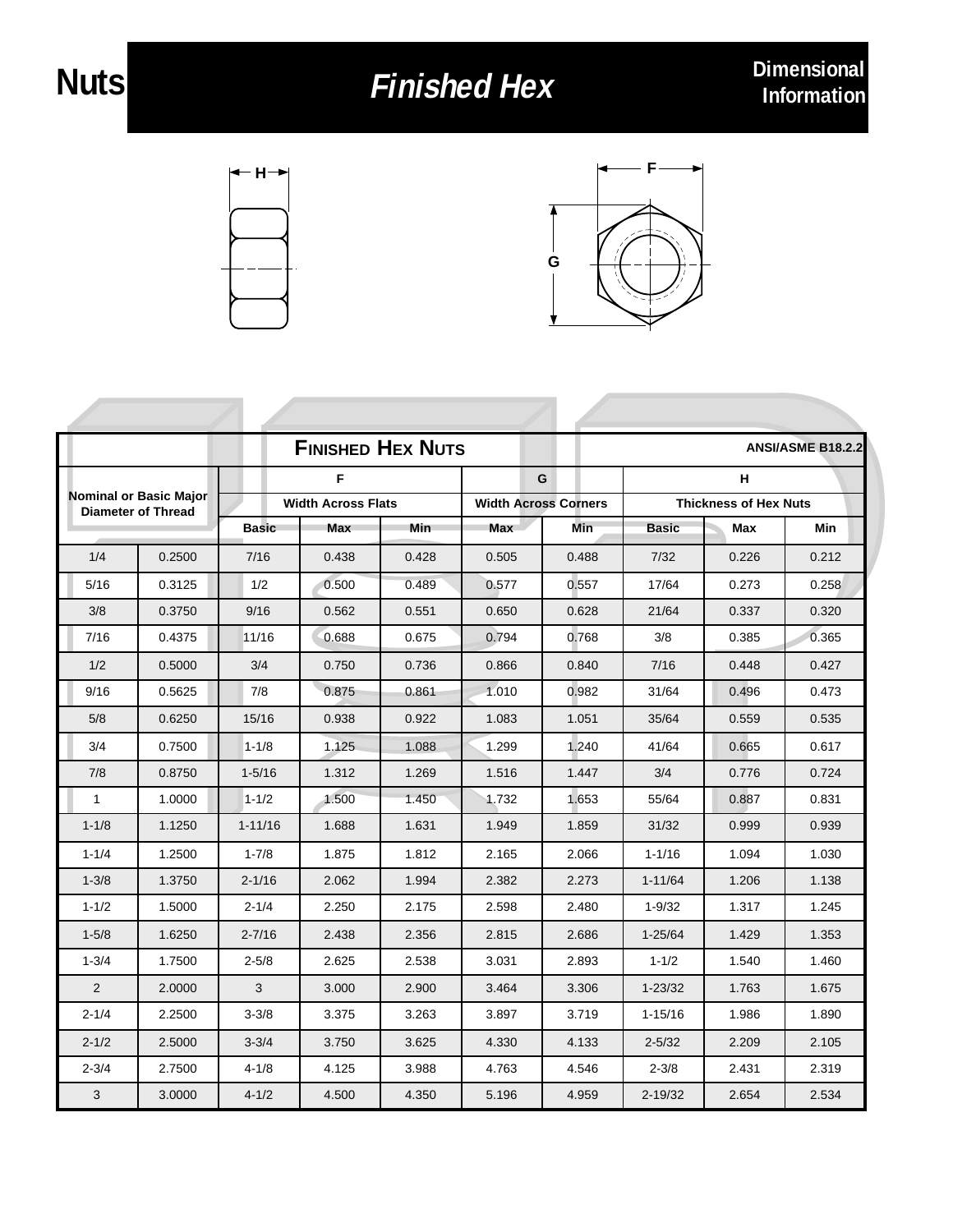## **Finished Hex**

**F**



| <b>FINISHED HEX NUTS</b><br><b>ANSI/ASME B18.2.2</b>       |        |                           |       |       |                             |       |                              |       |       |  |
|------------------------------------------------------------|--------|---------------------------|-------|-------|-----------------------------|-------|------------------------------|-------|-------|--|
| <b>Nominal or Basic Major</b><br><b>Diameter of Thread</b> |        | F                         |       |       | G                           |       | Н                            |       |       |  |
|                                                            |        | <b>Width Across Flats</b> |       |       | <b>Width Across Corners</b> |       | <b>Thickness of Hex Nuts</b> |       |       |  |
|                                                            |        | <b>Basic</b>              | Max   | Min   | Max                         | Min   | <b>Basic</b>                 | Max   | Min   |  |
| 1/4                                                        | 0.2500 | 7/16                      | 0.438 | 0.428 | 0.505                       | 0.488 | 7/32                         | 0.226 | 0.212 |  |
| 5/16                                                       | 0.3125 | 1/2                       | 0.500 | 0.489 | 0.577                       | 0.557 | 17/64                        | 0.273 | 0.258 |  |
| 3/8                                                        | 0.3750 | 9/16                      | 0.562 | 0.551 | 0.650                       | 0.628 | 21/64                        | 0.337 | 0.320 |  |
| 7/16                                                       | 0.4375 | 11/16                     | 0.688 | 0.675 | 0.794                       | 0.768 | 3/8                          | 0.385 | 0.365 |  |
| 1/2                                                        | 0.5000 | 3/4                       | 0.750 | 0.736 | 0.866                       | 0.840 | 7/16                         | 0.448 | 0.427 |  |
| 9/16                                                       | 0.5625 | 7/8                       | 0.875 | 0.861 | 1.010                       | 0.982 | 31/64                        | 0.496 | 0.473 |  |
| 5/8                                                        | 0.6250 | 15/16                     | 0.938 | 0.922 | 1.083                       | 1.051 | 35/64                        | 0.559 | 0.535 |  |
| 3/4                                                        | 0.7500 | $1 - 1/8$                 | 1.125 | 1.088 | 1.299                       | 1.240 | 41/64                        | 0.665 | 0.617 |  |
| 7/8                                                        | 0.8750 | $1 - 5/16$                | 1.312 | 1.269 | 1.516                       | 1.447 | 3/4                          | 0.776 | 0.724 |  |
| $\mathbf{1}$                                               | 1.0000 | $1 - 1/2$                 | 1.500 | 1.450 | 1.732                       | 1.653 | 55/64                        | 0.887 | 0.831 |  |
| $1 - 1/8$                                                  | 1.1250 | $1 - 11/16$               | 1.688 | 1.631 | 1.949                       | 1.859 | 31/32                        | 0.999 | 0.939 |  |
| $1 - 1/4$                                                  | 1.2500 | $1 - 7/8$                 | 1.875 | 1.812 | 2.165                       | 2.066 | $1 - 1/16$                   | 1.094 | 1.030 |  |
| $1 - 3/8$                                                  | 1.3750 | $2 - 1/16$                | 2.062 | 1.994 | 2.382                       | 2.273 | $1 - 11/64$                  | 1.206 | 1.138 |  |
| $1 - 1/2$                                                  | 1.5000 | $2 - 1/4$                 | 2.250 | 2.175 | 2.598                       | 2.480 | $1 - 9/32$                   | 1.317 | 1.245 |  |
| $1 - 5/8$                                                  | 1.6250 | $2 - 7/16$                | 2.438 | 2.356 | 2.815                       | 2.686 | $1 - 25/64$                  | 1.429 | 1.353 |  |
| $1 - 3/4$                                                  | 1.7500 | $2 - 5/8$                 | 2.625 | 2.538 | 3.031                       | 2.893 | $1 - 1/2$                    | 1.540 | 1.460 |  |
| 2                                                          | 2.0000 | 3                         | 3.000 | 2.900 | 3.464                       | 3.306 | $1 - 23/32$                  | 1.763 | 1.675 |  |
| $2 - 1/4$                                                  | 2.2500 | $3 - 3/8$                 | 3.375 | 3.263 | 3.897                       | 3.719 | $1 - 15/16$                  | 1.986 | 1.890 |  |
| $2 - 1/2$                                                  | 2.5000 | $3 - 3/4$                 | 3.750 | 3.625 | 4.330                       | 4.133 | $2 - 5/32$                   | 2.209 | 2.105 |  |
| $2 - 3/4$                                                  | 2.7500 | $4 - 1/8$                 | 4.125 | 3.988 | 4.763                       | 4.546 | $2 - 3/8$                    | 2.431 | 2.319 |  |
| 3                                                          | 3.0000 | $4 - 1/2$                 | 4.500 | 4.350 | 5.196                       | 4.959 | $2 - 19/32$                  | 2.654 | 2.534 |  |